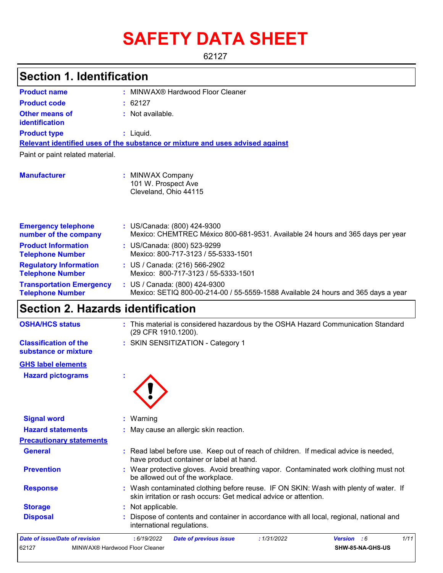# **SAFETY DATA SHEET**

62127

#### MINWAX® Hardwood Floor Cleaner **: :** Not available. Liquid. **:** US/Canada: (800) 424-9300 **:** Mexico: CHEMTREC México 800-681-9531. Available 24 hours and 365 days per year **Product name Other means of identification Product type Emergency telephone number of the company Section 1. Identification Manufacturer :** MINWAX Company 101 W. Prospect Ave Cleveland, Ohio 44115 **Relevant identified uses of the substance or mixture and uses advised against** Paint or paint related material. **Product code :** 62127 **Product Information Telephone Number :** US/Canada: (800) 523-9299 Mexico: 800-717-3123 / 55-5333-1501 **Regulatory Information :** US / Canada: (216) 566-2902

| <b>Telephone Number</b>         | Mexico: 800-717-3123 / 55-5333-1501                                               |
|---------------------------------|-----------------------------------------------------------------------------------|
| <b>Transportation Emergency</b> | : US / Canada: $(800)$ 424-9300                                                   |
| <b>Telephone Number</b>         | Mexico: SETIQ 800-00-214-00 / 55-5559-1588 Available 24 hours and 365 days a year |

### **Section 2. Hazards identification**

| <b>OSHA/HCS status</b>                                | : This material is considered hazardous by the OSHA Hazard Communication Standard<br>(29 CFR 1910.1200).                                                 |
|-------------------------------------------------------|----------------------------------------------------------------------------------------------------------------------------------------------------------|
| <b>Classification of the</b><br>substance or mixture  | : SKIN SENSITIZATION - Category 1                                                                                                                        |
| <b>GHS label elements</b><br><b>Hazard pictograms</b> |                                                                                                                                                          |
| <b>Signal word</b>                                    | : Warning                                                                                                                                                |
| <b>Hazard statements</b>                              | : May cause an allergic skin reaction.                                                                                                                   |
| <b>Precautionary statements</b>                       |                                                                                                                                                          |
| <b>General</b>                                        | : Read label before use. Keep out of reach of children. If medical advice is needed,<br>have product container or label at hand.                         |
| <b>Prevention</b>                                     | : Wear protective gloves. Avoid breathing vapor. Contaminated work clothing must not<br>be allowed out of the workplace.                                 |
| <b>Response</b>                                       | : Wash contaminated clothing before reuse. IF ON SKIN: Wash with plenty of water. If<br>skin irritation or rash occurs: Get medical advice or attention. |
| <b>Storage</b>                                        | : Not applicable.                                                                                                                                        |
| <b>Disposal</b>                                       | Dispose of contents and container in accordance with all local, regional, national and<br>international regulations.                                     |
| <b>Date of issue/Date of revision</b>                 | 1/11<br>: 6/19/2022<br>: 1/31/2022<br><b>Date of previous issue</b><br>Version : 6                                                                       |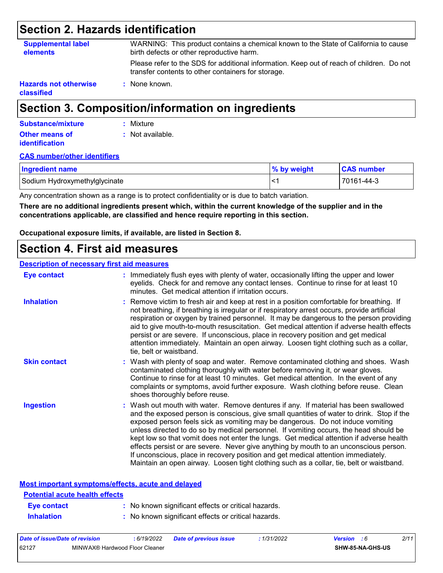### **Section 2. Hazards identification**

| <b>Supplemental label</b><br><b>elements</b> | WARNING: This product contains a chemical known to the State of California to cause<br>birth defects or other reproductive harm.                |
|----------------------------------------------|-------------------------------------------------------------------------------------------------------------------------------------------------|
|                                              | Please refer to the SDS for additional information. Keep out of reach of children. Do not<br>transfer contents to other containers for storage. |
| <b>Hazards not otherwise</b><br>classified   | : None known.                                                                                                                                   |

## **Section 3. Composition/information on ingredients**

| Substance/mixture                              | : Mixture        |
|------------------------------------------------|------------------|
| <b>Other means of</b><br><i>identification</i> | : Not available. |

#### **CAS number/other identifiers**

| <b>Ingredient name</b>        | % by weight | <b>CAS number</b> |
|-------------------------------|-------------|-------------------|
| Sodium Hydroxymethylglycinate | ′> ا        | 70161-44-3        |

Any concentration shown as a range is to protect confidentiality or is due to batch variation.

**There are no additional ingredients present which, within the current knowledge of the supplier and in the concentrations applicable, are classified and hence require reporting in this section.**

**Occupational exposure limits, if available, are listed in Section 8.**

### **Section 4. First aid measures**

### **Description of necessary first aid measures**

| <b>Eye contact</b>  | : Immediately flush eyes with plenty of water, occasionally lifting the upper and lower<br>eyelids. Check for and remove any contact lenses. Continue to rinse for at least 10<br>minutes. Get medical attention if irritation occurs.                                                                                                                                                                                                                                                                                                                                                                                                                                                                                            |
|---------------------|-----------------------------------------------------------------------------------------------------------------------------------------------------------------------------------------------------------------------------------------------------------------------------------------------------------------------------------------------------------------------------------------------------------------------------------------------------------------------------------------------------------------------------------------------------------------------------------------------------------------------------------------------------------------------------------------------------------------------------------|
| <b>Inhalation</b>   | : Remove victim to fresh air and keep at rest in a position comfortable for breathing. If<br>not breathing, if breathing is irregular or if respiratory arrest occurs, provide artificial<br>respiration or oxygen by trained personnel. It may be dangerous to the person providing<br>aid to give mouth-to-mouth resuscitation. Get medical attention if adverse health effects<br>persist or are severe. If unconscious, place in recovery position and get medical<br>attention immediately. Maintain an open airway. Loosen tight clothing such as a collar,<br>tie, belt or waistband.                                                                                                                                      |
| <b>Skin contact</b> | : Wash with plenty of soap and water. Remove contaminated clothing and shoes. Wash<br>contaminated clothing thoroughly with water before removing it, or wear gloves.<br>Continue to rinse for at least 10 minutes. Get medical attention. In the event of any<br>complaints or symptoms, avoid further exposure. Wash clothing before reuse. Clean<br>shoes thoroughly before reuse.                                                                                                                                                                                                                                                                                                                                             |
| <b>Ingestion</b>    | : Wash out mouth with water. Remove dentures if any. If material has been swallowed<br>and the exposed person is conscious, give small quantities of water to drink. Stop if the<br>exposed person feels sick as vomiting may be dangerous. Do not induce vomiting<br>unless directed to do so by medical personnel. If vomiting occurs, the head should be<br>kept low so that vomit does not enter the lungs. Get medical attention if adverse health<br>effects persist or are severe. Never give anything by mouth to an unconscious person.<br>If unconscious, place in recovery position and get medical attention immediately.<br>Maintain an open airway. Loosen tight clothing such as a collar, tie, belt or waistband. |

#### **Most important symptoms/effects, acute and delayed**

| <b>Potential acute health effects</b> |                                                     |
|---------------------------------------|-----------------------------------------------------|
| <b>Eve contact</b>                    | : No known significant effects or critical hazards. |
| <b>Inhalation</b>                     | : No known significant effects or critical hazards. |

| Date of issue/Date of revision |                                | 6/19/2022 | <b>Date of previous issue</b> | 1/31/2022 | Version | - 6              | 2/11 |
|--------------------------------|--------------------------------|-----------|-------------------------------|-----------|---------|------------------|------|
| 62127                          | MINWAX® Hardwood Floor Cleaner |           |                               |           |         | SHW-85-NA-GHS-US |      |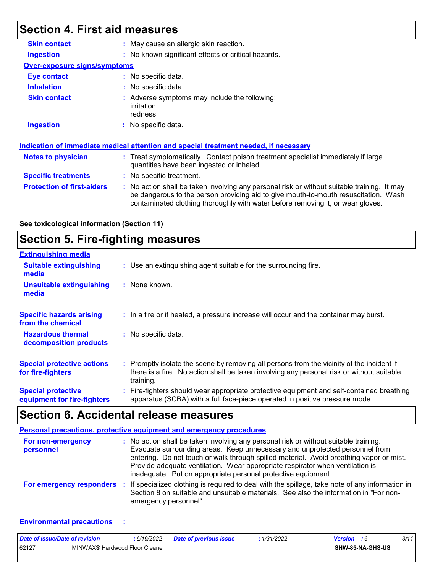## **Section 4. First aid measures**

| <b>Skin contact</b>                 | : May cause an allergic skin reaction.                                                                                                                                                                                                                              |
|-------------------------------------|---------------------------------------------------------------------------------------------------------------------------------------------------------------------------------------------------------------------------------------------------------------------|
| Ingestion                           | : No known significant effects or critical hazards.                                                                                                                                                                                                                 |
| <b>Over-exposure signs/symptoms</b> |                                                                                                                                                                                                                                                                     |
| Eye contact                         | $:$ No specific data.                                                                                                                                                                                                                                               |
| <b>Inhalation</b>                   | : No specific data.                                                                                                                                                                                                                                                 |
| <b>Skin contact</b>                 | : Adverse symptoms may include the following:<br>irritation<br>redness                                                                                                                                                                                              |
| <b>Ingestion</b>                    | : No specific data.                                                                                                                                                                                                                                                 |
|                                     | Indication of immediate medical attention and special treatment needed, if necessary                                                                                                                                                                                |
| <b>Notes to physician</b>           | : Treat symptomatically. Contact poison treatment specialist immediately if large<br>quantities have been ingested or inhaled.                                                                                                                                      |
| <b>Specific treatments</b>          | : No specific treatment.                                                                                                                                                                                                                                            |
| <b>Protection of first-aiders</b>   | No action shall be taken involving any personal risk or without suitable training. It may<br>be dangerous to the person providing aid to give mouth-to-mouth resuscitation. Wash<br>contaminated clothing thoroughly with water before removing it, or wear gloves. |

**See toxicological information (Section 11)**

## **Section 5. Fire-fighting measures**

| <b>Extinguishing media</b>                               |                                                                                                                                                                                                     |
|----------------------------------------------------------|-----------------------------------------------------------------------------------------------------------------------------------------------------------------------------------------------------|
| <b>Suitable extinguishing</b><br>media                   | : Use an extinguishing agent suitable for the surrounding fire.                                                                                                                                     |
| <b>Unsuitable extinguishing</b><br>media                 | : None known.                                                                                                                                                                                       |
| <b>Specific hazards arising</b><br>from the chemical     | : In a fire or if heated, a pressure increase will occur and the container may burst.                                                                                                               |
| <b>Hazardous thermal</b><br>decomposition products       | : No specific data.                                                                                                                                                                                 |
| <b>Special protective actions</b><br>for fire-fighters   | : Promptly isolate the scene by removing all persons from the vicinity of the incident if<br>there is a fire. No action shall be taken involving any personal risk or without suitable<br>training. |
| <b>Special protective</b><br>equipment for fire-fighters | Fire-fighters should wear appropriate protective equipment and self-contained breathing<br>apparatus (SCBA) with a full face-piece operated in positive pressure mode.                              |

## **Section 6. Accidental release measures**

|                                | <b>Personal precautions, protective equipment and emergency procedures</b>                                                                                                                                                                                                                                                                                                                                       |
|--------------------------------|------------------------------------------------------------------------------------------------------------------------------------------------------------------------------------------------------------------------------------------------------------------------------------------------------------------------------------------------------------------------------------------------------------------|
| For non-emergency<br>personnel | : No action shall be taken involving any personal risk or without suitable training.<br>Evacuate surrounding areas. Keep unnecessary and unprotected personnel from<br>entering. Do not touch or walk through spilled material. Avoid breathing vapor or mist.<br>Provide adequate ventilation. Wear appropriate respirator when ventilation is<br>inadequate. Put on appropriate personal protective equipment. |
| For emergency responders       | : If specialized clothing is required to deal with the spillage, take note of any information in<br>Section 8 on suitable and unsuitable materials. See also the information in "For non-<br>emergency personnel".                                                                                                                                                                                               |

#### **Environmental precautions :**

| Date of issue/Date of revision |                                | : 6/19/2022 | <b>Date of previous issue</b> | : 1/31/2022 | <b>Version</b> : 6 |                         | 3/11 |  |
|--------------------------------|--------------------------------|-------------|-------------------------------|-------------|--------------------|-------------------------|------|--|
| 62127                          | MINWAX® Hardwood Floor Cleaner |             |                               |             |                    | <b>SHW-85-NA-GHS-US</b> |      |  |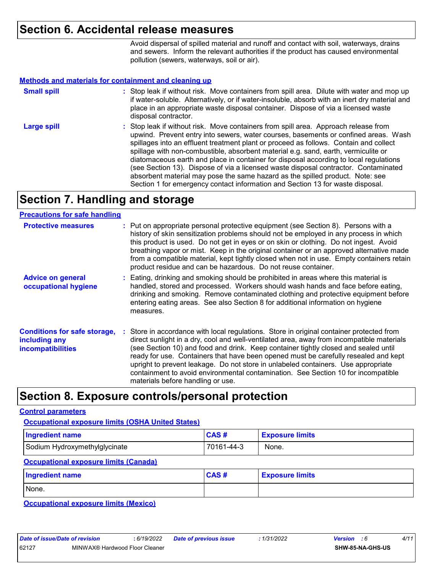### **Section 6. Accidental release measures**

Avoid dispersal of spilled material and runoff and contact with soil, waterways, drains and sewers. Inform the relevant authorities if the product has caused environmental pollution (sewers, waterways, soil or air).

#### **Methods and materials for containment and cleaning up**

| <b>Small spill</b> | : Stop leak if without risk. Move containers from spill area. Dilute with water and mop up<br>if water-soluble. Alternatively, or if water-insoluble, absorb with an inert dry material and<br>place in an appropriate waste disposal container. Dispose of via a licensed waste<br>disposal contractor.                                                                                                                                                                                                                                                                                                                                                                                                     |
|--------------------|--------------------------------------------------------------------------------------------------------------------------------------------------------------------------------------------------------------------------------------------------------------------------------------------------------------------------------------------------------------------------------------------------------------------------------------------------------------------------------------------------------------------------------------------------------------------------------------------------------------------------------------------------------------------------------------------------------------|
| <b>Large spill</b> | : Stop leak if without risk. Move containers from spill area. Approach release from<br>upwind. Prevent entry into sewers, water courses, basements or confined areas. Wash<br>spillages into an effluent treatment plant or proceed as follows. Contain and collect<br>spillage with non-combustible, absorbent material e.g. sand, earth, vermiculite or<br>diatomaceous earth and place in container for disposal according to local regulations<br>(see Section 13). Dispose of via a licensed waste disposal contractor. Contaminated<br>absorbent material may pose the same hazard as the spilled product. Note: see<br>Section 1 for emergency contact information and Section 13 for waste disposal. |

### **Section 7. Handling and storage**

### **Precautions for safe handling**

| <b>Protective measures</b>                                                       | : Put on appropriate personal protective equipment (see Section 8). Persons with a<br>history of skin sensitization problems should not be employed in any process in which<br>this product is used. Do not get in eyes or on skin or clothing. Do not ingest. Avoid<br>breathing vapor or mist. Keep in the original container or an approved alternative made<br>from a compatible material, kept tightly closed when not in use. Empty containers retain<br>product residue and can be hazardous. Do not reuse container.                                                       |
|----------------------------------------------------------------------------------|------------------------------------------------------------------------------------------------------------------------------------------------------------------------------------------------------------------------------------------------------------------------------------------------------------------------------------------------------------------------------------------------------------------------------------------------------------------------------------------------------------------------------------------------------------------------------------|
| <b>Advice on general</b><br>occupational hygiene                                 | : Eating, drinking and smoking should be prohibited in areas where this material is<br>handled, stored and processed. Workers should wash hands and face before eating,<br>drinking and smoking. Remove contaminated clothing and protective equipment before<br>entering eating areas. See also Section 8 for additional information on hygiene<br>measures.                                                                                                                                                                                                                      |
| <b>Conditions for safe storage,</b><br>including any<br><b>incompatibilities</b> | : Store in accordance with local regulations. Store in original container protected from<br>direct sunlight in a dry, cool and well-ventilated area, away from incompatible materials<br>(see Section 10) and food and drink. Keep container tightly closed and sealed until<br>ready for use. Containers that have been opened must be carefully resealed and kept<br>upright to prevent leakage. Do not store in unlabeled containers. Use appropriate<br>containment to avoid environmental contamination. See Section 10 for incompatible<br>materials before handling or use. |

### **Section 8. Exposure controls/personal protection**

#### **Control parameters**

### Sodium Hydroxymethylglycinate **70161-44-3** None. **Ingredient name Exposure limits Exposure limits Occupational exposure limits (OSHA United States)** None. **Ingredient name Exposure limits Exposure limits Occupational exposure limits (Canada) CAS # CAS #**

**Occupational exposure limits (Mexico)**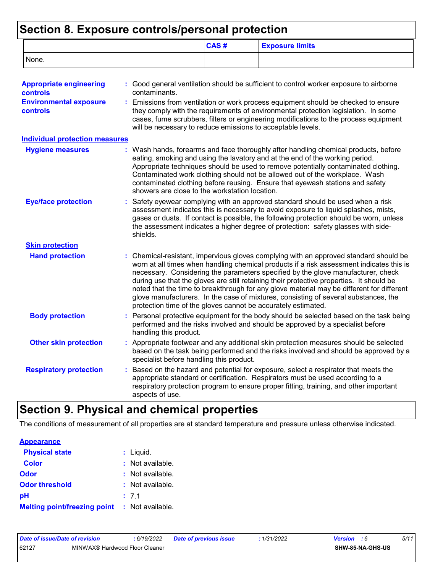### **Section 8. Exposure controls/personal protection**

|                                                  |                                                | CAS#                                                                                                                                                                                                                                                                                                                                                                                                                                                                                                                                                                                                                   | <b>Exposure limits</b>                                                                                                                                                                                                                                                                                                                                                                                                    |  |
|--------------------------------------------------|------------------------------------------------|------------------------------------------------------------------------------------------------------------------------------------------------------------------------------------------------------------------------------------------------------------------------------------------------------------------------------------------------------------------------------------------------------------------------------------------------------------------------------------------------------------------------------------------------------------------------------------------------------------------------|---------------------------------------------------------------------------------------------------------------------------------------------------------------------------------------------------------------------------------------------------------------------------------------------------------------------------------------------------------------------------------------------------------------------------|--|
| None.                                            |                                                |                                                                                                                                                                                                                                                                                                                                                                                                                                                                                                                                                                                                                        |                                                                                                                                                                                                                                                                                                                                                                                                                           |  |
| <b>Appropriate engineering</b><br>controls       | contaminants.                                  |                                                                                                                                                                                                                                                                                                                                                                                                                                                                                                                                                                                                                        | : Good general ventilation should be sufficient to control worker exposure to airborne                                                                                                                                                                                                                                                                                                                                    |  |
| <b>Environmental exposure</b><br><b>controls</b> |                                                | Emissions from ventilation or work process equipment should be checked to ensure<br>they comply with the requirements of environmental protection legislation. In some<br>cases, fume scrubbers, filters or engineering modifications to the process equipment<br>will be necessary to reduce emissions to acceptable levels.                                                                                                                                                                                                                                                                                          |                                                                                                                                                                                                                                                                                                                                                                                                                           |  |
| <b>Individual protection measures</b>            |                                                |                                                                                                                                                                                                                                                                                                                                                                                                                                                                                                                                                                                                                        |                                                                                                                                                                                                                                                                                                                                                                                                                           |  |
| <b>Hygiene measures</b>                          | showers are close to the workstation location. |                                                                                                                                                                                                                                                                                                                                                                                                                                                                                                                                                                                                                        | : Wash hands, forearms and face thoroughly after handling chemical products, before<br>eating, smoking and using the lavatory and at the end of the working period.<br>Appropriate techniques should be used to remove potentially contaminated clothing.<br>Contaminated work clothing should not be allowed out of the workplace. Wash<br>contaminated clothing before reusing. Ensure that eyewash stations and safety |  |
| <b>Eye/face protection</b>                       | shields.                                       | Safety eyewear complying with an approved standard should be used when a risk<br>assessment indicates this is necessary to avoid exposure to liquid splashes, mists,<br>gases or dusts. If contact is possible, the following protection should be worn, unless<br>the assessment indicates a higher degree of protection: safety glasses with side-                                                                                                                                                                                                                                                                   |                                                                                                                                                                                                                                                                                                                                                                                                                           |  |
| <b>Skin protection</b>                           |                                                |                                                                                                                                                                                                                                                                                                                                                                                                                                                                                                                                                                                                                        |                                                                                                                                                                                                                                                                                                                                                                                                                           |  |
| <b>Hand protection</b>                           |                                                | : Chemical-resistant, impervious gloves complying with an approved standard should be<br>worn at all times when handling chemical products if a risk assessment indicates this is<br>necessary. Considering the parameters specified by the glove manufacturer, check<br>during use that the gloves are still retaining their protective properties. It should be<br>noted that the time to breakthrough for any glove material may be different for different<br>glove manufacturers. In the case of mixtures, consisting of several substances, the<br>protection time of the gloves cannot be accurately estimated. |                                                                                                                                                                                                                                                                                                                                                                                                                           |  |
| <b>Body protection</b>                           | handling this product.                         | Personal protective equipment for the body should be selected based on the task being<br>performed and the risks involved and should be approved by a specialist before                                                                                                                                                                                                                                                                                                                                                                                                                                                |                                                                                                                                                                                                                                                                                                                                                                                                                           |  |
| <b>Other skin protection</b>                     |                                                | : Appropriate footwear and any additional skin protection measures should be selected<br>based on the task being performed and the risks involved and should be approved by a<br>specialist before handling this product.                                                                                                                                                                                                                                                                                                                                                                                              |                                                                                                                                                                                                                                                                                                                                                                                                                           |  |
| <b>Respiratory protection</b>                    | aspects of use.                                |                                                                                                                                                                                                                                                                                                                                                                                                                                                                                                                                                                                                                        | Based on the hazard and potential for exposure, select a respirator that meets the<br>appropriate standard or certification. Respirators must be used according to a<br>respiratory protection program to ensure proper fitting, training, and other important                                                                                                                                                            |  |

## **Section 9. Physical and chemical properties**

The conditions of measurement of all properties are at standard temperature and pressure unless otherwise indicated.

#### **Physical state Melting point/freezing point : Not available.** Liquid. **: Odor** : Not available. **pH Color Color :** Not available. 7.1 **: Odor threshold** : Not available. **Appearance**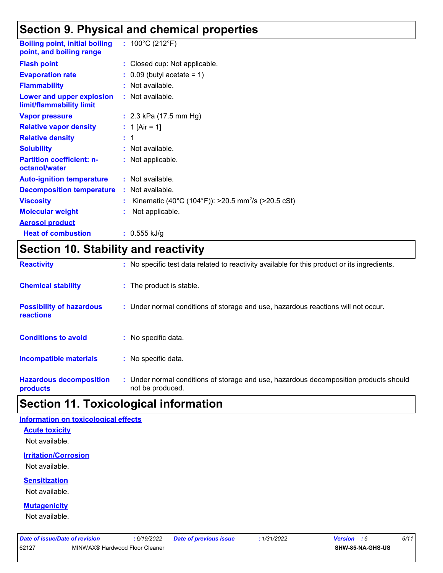## **Section 9. Physical and chemical properties**

| <b>Boiling point, initial boiling</b><br>point, and boiling range | : $100^{\circ}$ C (212 $^{\circ}$ F)                           |
|-------------------------------------------------------------------|----------------------------------------------------------------|
| <b>Flash point</b>                                                | : Closed cup: Not applicable.                                  |
| <b>Evaporation rate</b>                                           | $\therefore$ 0.09 (butyl acetate = 1)                          |
| <b>Flammability</b>                                               | : Not available.                                               |
| Lower and upper explosion<br>limit/flammability limit             | : Not available.                                               |
| <b>Vapor pressure</b>                                             | : $2.3$ kPa (17.5 mm Hg)                                       |
| <b>Relative vapor density</b>                                     | : 1 [Air = 1]                                                  |
| <b>Relative density</b>                                           | $\pm$ 1                                                        |
| <b>Solubility</b>                                                 | : Not available.                                               |
| <b>Partition coefficient: n-</b><br>octanol/water                 | : Not applicable.                                              |
| <b>Auto-ignition temperature</b>                                  | : Not available.                                               |
| <b>Decomposition temperature</b>                                  | : Not available.                                               |
| <b>Viscosity</b>                                                  | Kinematic (40°C (104°F)): >20.5 mm <sup>2</sup> /s (>20.5 cSt) |
| <b>Molecular weight</b>                                           | Not applicable.                                                |
| <b>Aerosol product</b>                                            |                                                                |
| <b>Heat of combustion</b>                                         | : $0.555$ kJ/g                                                 |

## **Section 10. Stability and reactivity**

| <b>Reactivity</b>                            | : No specific test data related to reactivity available for this product or its ingredients.              |
|----------------------------------------------|-----------------------------------------------------------------------------------------------------------|
| <b>Chemical stability</b>                    | : The product is stable.                                                                                  |
| <b>Possibility of hazardous</b><br>reactions | : Under normal conditions of storage and use, hazardous reactions will not occur.                         |
| <b>Conditions to avoid</b>                   | : No specific data.                                                                                       |
| <b>Incompatible materials</b>                | : No specific data.                                                                                       |
| <b>Hazardous decomposition</b><br>products   | : Under normal conditions of storage and use, hazardous decomposition products should<br>not be produced. |

### **Section 11. Toxicological information**

#### **Information on toxicological effects**

### **Acute toxicity**

Not available.

### **Irritation/Corrosion**

Not available.

### **Sensitization**

Not available.

### **Mutagenicity**

Not available.

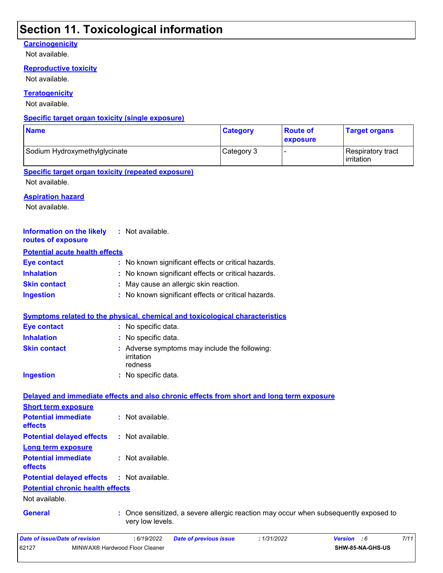### **Section 11. Toxicological information**

### **Carcinogenicity**

Not available.

#### **Reproductive toxicity**

Not available.

### **Teratogenicity**

Not available.

### **Specific target organ toxicity (single exposure)**

| <b>Name</b>                   | <b>Category</b> | <b>Route of</b><br><b>exposure</b> | <b>Target organs</b>                     |
|-------------------------------|-----------------|------------------------------------|------------------------------------------|
| Sodium Hydroxymethylglycinate | Category 3      |                                    | Respiratory tract<br><b>l</b> irritation |

### **Specific target organ toxicity (repeated exposure)**

Not available.

#### **Aspiration hazard**

Not available.

| <b>Information on the likely</b><br>routes of exposure | : Not available.                                                                                       |
|--------------------------------------------------------|--------------------------------------------------------------------------------------------------------|
| <b>Potential acute health effects</b>                  |                                                                                                        |
| <b>Eye contact</b>                                     | : No known significant effects or critical hazards.                                                    |
| <b>Inhalation</b>                                      | No known significant effects or critical hazards.                                                      |
| <b>Skin contact</b>                                    | May cause an allergic skin reaction.                                                                   |
| <b>Ingestion</b>                                       | : No known significant effects or critical hazards.                                                    |
|                                                        | Symptoms related to the physical, chemical and toxicological characteristics                           |
| <b>Eye contact</b>                                     | : No specific data.                                                                                    |
| <b>Inhalation</b>                                      | : No specific data.                                                                                    |
| <b>Skin contact</b>                                    | : Adverse symptoms may include the following:<br>irritation<br>redness                                 |
| <b>Ingestion</b>                                       | : No specific data.                                                                                    |
|                                                        | Delayed and immediate effects and also chronic effects from short and long term exposure               |
| <b>Short term exposure</b>                             |                                                                                                        |
| <b>Potential immediate</b><br>effects                  | : Not available.                                                                                       |
| <b>Potential delayed effects</b>                       | : Not available.                                                                                       |
| <b>Long term exposure</b>                              |                                                                                                        |
| <b>Potential immediate</b><br>effects                  | : Not available.                                                                                       |
| <b>Potential delayed effects</b>                       | : Not available.                                                                                       |
| <b>Potential chronic health effects</b>                |                                                                                                        |
| Not available.                                         |                                                                                                        |
| <b>General</b>                                         | Once sensitized, a severe allergic reaction may occur when subsequently exposed to<br>very low levels. |
| Date of issue/Date of revision                         | : 6/19/2022<br>: 1/31/2022<br>Version : 6<br>7/11<br><b>Date of previous issue</b>                     |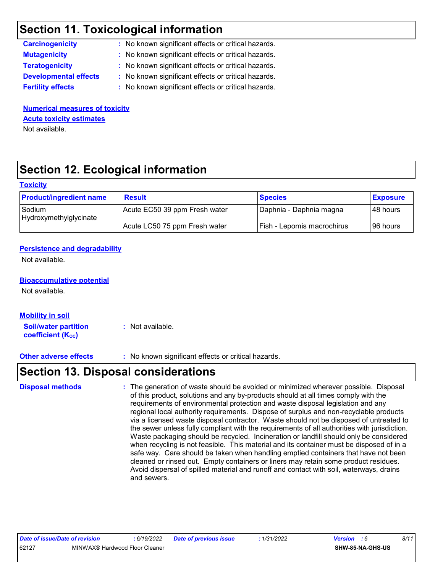## **Section 11. Toxicological information**

| : No known significant effects or critical hazards. |
|-----------------------------------------------------|
| : No known significant effects or critical hazards. |
| : No known significant effects or critical hazards. |
| : No known significant effects or critical hazards. |
| : No known significant effects or critical hazards. |
|                                                     |

**Numerical measures of toxicity** Not available. **Acute toxicity estimates**

## **Section 12. Ecological information**

#### **Toxicity**

| <b>Product/ingredient name</b>   | <b>Result</b>                 | <b>Species</b>             | <b>Exposure</b> |
|----------------------------------|-------------------------------|----------------------------|-----------------|
| Sodium<br>Hydroxymethylglycinate | Acute EC50 39 ppm Fresh water | Daphnia - Daphnia magna    | l 48 hours l    |
|                                  | Acute LC50 75 ppm Fresh water | Fish - Lepomis macrochirus | 196 hours       |

#### **Persistence and degradability**

Not available.

### **Bioaccumulative potential**

Not available.

| <b>Mobility in soil</b>     |                  |
|-----------------------------|------------------|
| <b>Soil/water partition</b> | : Not available. |
| <b>coefficient (Koc)</b>    |                  |

**Other adverse effects** : No known significant effects or critical hazards.

### **Section 13. Disposal considerations**

The generation of waste should be avoided or minimized wherever possible. Disposal of this product, solutions and any by-products should at all times comply with the requirements of environmental protection and waste disposal legislation and any regional local authority requirements. Dispose of surplus and non-recyclable products via a licensed waste disposal contractor. Waste should not be disposed of untreated to the sewer unless fully compliant with the requirements of all authorities with jurisdiction. Waste packaging should be recycled. Incineration or landfill should only be considered when recycling is not feasible. This material and its container must be disposed of in a safe way. Care should be taken when handling emptied containers that have not been cleaned or rinsed out. Empty containers or liners may retain some product residues. Avoid dispersal of spilled material and runoff and contact with soil, waterways, drains and sewers. **Disposal methods :**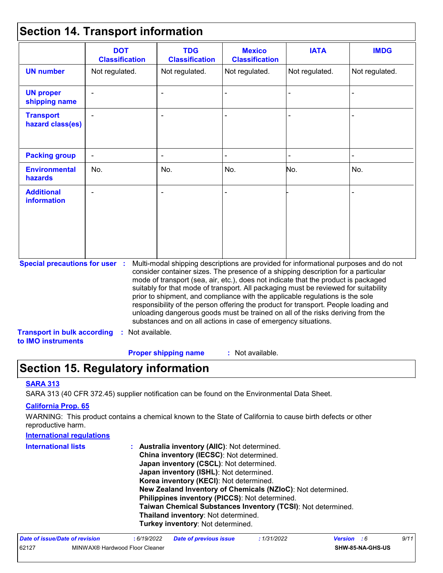### **Section 14. Transport information**

|                                                                                                                                                                                                                                                                                                                                                                                                                                                                                                                                                                                                                                                                                                                              | <b>DOT</b><br><b>Classification</b> | <b>TDG</b><br><b>Classification</b> | <b>Mexico</b><br><b>Classification</b> | <b>IATA</b>    | <b>IMDG</b>    |
|------------------------------------------------------------------------------------------------------------------------------------------------------------------------------------------------------------------------------------------------------------------------------------------------------------------------------------------------------------------------------------------------------------------------------------------------------------------------------------------------------------------------------------------------------------------------------------------------------------------------------------------------------------------------------------------------------------------------------|-------------------------------------|-------------------------------------|----------------------------------------|----------------|----------------|
| <b>UN number</b>                                                                                                                                                                                                                                                                                                                                                                                                                                                                                                                                                                                                                                                                                                             | Not regulated.                      | Not regulated.                      | Not regulated.                         | Not regulated. | Not regulated. |
| <b>UN proper</b><br>shipping name                                                                                                                                                                                                                                                                                                                                                                                                                                                                                                                                                                                                                                                                                            |                                     | $\blacksquare$                      |                                        |                |                |
| <b>Transport</b><br>hazard class(es)                                                                                                                                                                                                                                                                                                                                                                                                                                                                                                                                                                                                                                                                                         |                                     |                                     |                                        |                |                |
| <b>Packing group</b>                                                                                                                                                                                                                                                                                                                                                                                                                                                                                                                                                                                                                                                                                                         | $\blacksquare$                      | $\overline{\phantom{a}}$            |                                        |                |                |
| <b>Environmental</b><br>hazards                                                                                                                                                                                                                                                                                                                                                                                                                                                                                                                                                                                                                                                                                              | No.                                 | No.                                 | No.                                    | No.            | No.            |
| <b>Additional</b><br><b>information</b>                                                                                                                                                                                                                                                                                                                                                                                                                                                                                                                                                                                                                                                                                      |                                     |                                     |                                        |                |                |
| <b>Special precautions for user :</b><br>Multi-modal shipping descriptions are provided for informational purposes and do not<br>consider container sizes. The presence of a shipping description for a particular<br>mode of transport (sea, air, etc.), does not indicate that the product is packaged<br>suitably for that mode of transport. All packaging must be reviewed for suitability<br>prior to shipment, and compliance with the applicable regulations is the sole<br>responsibility of the person offering the product for transport. People loading and<br>unloading dangerous goods must be trained on all of the risks deriving from the<br>substances and on all actions in case of emergency situations. |                                     |                                     |                                        |                |                |
| : Not available.<br><b>Transport in bulk according</b><br>to IMO instruments                                                                                                                                                                                                                                                                                                                                                                                                                                                                                                                                                                                                                                                 |                                     |                                     |                                        |                |                |

: Not available. **Proper shipping name :**

## **Section 15. Regulatory information**

#### **SARA 313**

SARA 313 (40 CFR 372.45) supplier notification can be found on the Environmental Data Sheet.

#### **California Prop. 65**

WARNING: This product contains a chemical known to the State of California to cause birth defects or other reproductive harm.

#### **Australia inventory (AIIC)**: Not determined. **China inventory (IECSC)**: Not determined. **Japan inventory (CSCL)**: Not determined. **Japan inventory (ISHL)**: Not determined. **Korea inventory (KECI)**: Not determined. **New Zealand Inventory of Chemicals (NZIoC)**: Not determined. **Philippines inventory (PICCS)**: Not determined. **Taiwan Chemical Substances Inventory (TCSI)**: Not determined. **Thailand inventory**: Not determined. **Turkey inventory**: Not determined. **International regulations International lists :**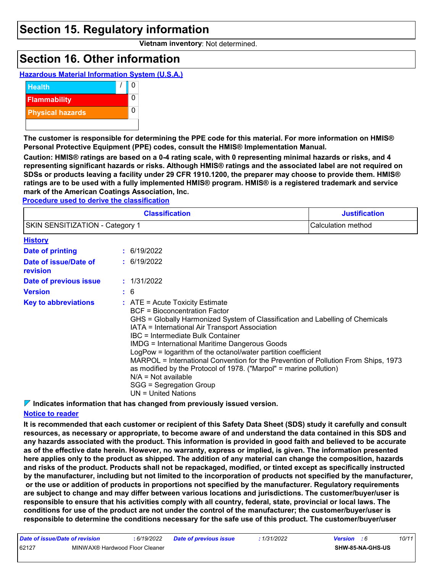### **Section 15. Regulatory information**

**Vietnam inventory**: Not determined.

## **Section 16. Other information**





**The customer is responsible for determining the PPE code for this material. For more information on HMIS® Personal Protective Equipment (PPE) codes, consult the HMIS® Implementation Manual.**

**Caution: HMIS® ratings are based on a 0-4 rating scale, with 0 representing minimal hazards or risks, and 4 representing significant hazards or risks. Although HMIS® ratings and the associated label are not required on SDSs or products leaving a facility under 29 CFR 1910.1200, the preparer may choose to provide them. HMIS® ratings are to be used with a fully implemented HMIS® program. HMIS® is a registered trademark and service mark of the American Coatings Association, Inc.**

**Procedure used to derive the classification**

|                                   | <b>Justification</b>                                                                                                                                                                                                                                                                                                                                                                                                                                                                                                                                                                                         |  |
|-----------------------------------|--------------------------------------------------------------------------------------------------------------------------------------------------------------------------------------------------------------------------------------------------------------------------------------------------------------------------------------------------------------------------------------------------------------------------------------------------------------------------------------------------------------------------------------------------------------------------------------------------------------|--|
| SKIN SENSITIZATION - Category 1   | Calculation method                                                                                                                                                                                                                                                                                                                                                                                                                                                                                                                                                                                           |  |
| <b>History</b>                    |                                                                                                                                                                                                                                                                                                                                                                                                                                                                                                                                                                                                              |  |
| <b>Date of printing</b>           | : 6/19/2022                                                                                                                                                                                                                                                                                                                                                                                                                                                                                                                                                                                                  |  |
| Date of issue/Date of<br>revision | : 6/19/2022                                                                                                                                                                                                                                                                                                                                                                                                                                                                                                                                                                                                  |  |
| Date of previous issue            | : 1/31/2022                                                                                                                                                                                                                                                                                                                                                                                                                                                                                                                                                                                                  |  |
| <b>Version</b>                    | : 6                                                                                                                                                                                                                                                                                                                                                                                                                                                                                                                                                                                                          |  |
| <b>Key to abbreviations</b>       | $:$ ATE = Acute Toxicity Estimate<br>BCF = Bioconcentration Factor<br>GHS = Globally Harmonized System of Classification and Labelling of Chemicals<br>IATA = International Air Transport Association<br>IBC = Intermediate Bulk Container<br><b>IMDG = International Maritime Dangerous Goods</b><br>LogPow = logarithm of the octanol/water partition coefficient<br>MARPOL = International Convention for the Prevention of Pollution From Ships, 1973<br>as modified by the Protocol of 1978. ("Marpol" = marine pollution)<br>$N/A = Not available$<br>SGG = Segregation Group<br>$UN = United Nations$ |  |

**Indicates information that has changed from previously issued version.**

### **Notice to reader**

**It is recommended that each customer or recipient of this Safety Data Sheet (SDS) study it carefully and consult resources, as necessary or appropriate, to become aware of and understand the data contained in this SDS and any hazards associated with the product. This information is provided in good faith and believed to be accurate as of the effective date herein. However, no warranty, express or implied, is given. The information presented here applies only to the product as shipped. The addition of any material can change the composition, hazards and risks of the product. Products shall not be repackaged, modified, or tinted except as specifically instructed by the manufacturer, including but not limited to the incorporation of products not specified by the manufacturer, or the use or addition of products in proportions not specified by the manufacturer. Regulatory requirements are subject to change and may differ between various locations and jurisdictions. The customer/buyer/user is responsible to ensure that his activities comply with all country, federal, state, provincial or local laws. The conditions for use of the product are not under the control of the manufacturer; the customer/buyer/user is responsible to determine the conditions necessary for the safe use of this product. The customer/buyer/user**